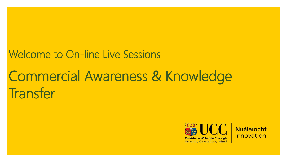#### Welcome to On-line Live Sessions

### Commercial Awareness & Knowledge **Transfer**





**University College Cork, Ireland**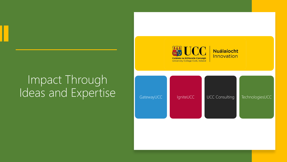# Impact Through

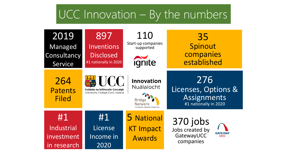#### UCC Innovation – By the numbers

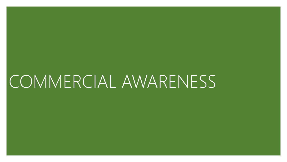### COMMERCIAL AWARENESS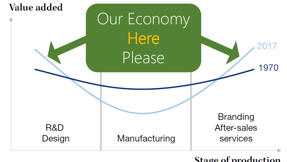

Stage of production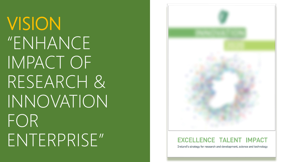VISION "ENHANCE IMPACT OF RESEARCH & INNOVATION FOR ENTERPRISE"



#### EXCELLENCE TALENT IMPACT

Ireland's strategy for research and development, science and technology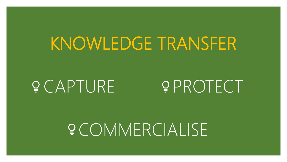### KNOWLEDGE TRANSFER

### PECAPTURE PROTECT

COMMERCIALISE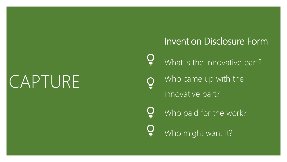### CAPTURE

#### Invention Disclosure Form

 $\subsetneq$ What is the Innovative part?

Who came up with the innovative part?

Who paid for the work?

Who might want it?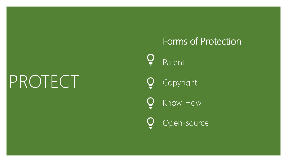## PROTECT

#### Forms of Protection

Patent<sup>'</sup>

Copyright

Ç Know-How

Open-source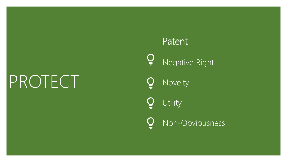## PROTECT

#### Patent

 $Q$ Negative Right

Novelty

Utility

Non-Obviousness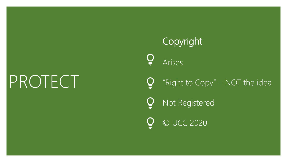## PROTECT

### Copyright  $\mathbf{Q}$ Arises "Right to Copy" – NOT the idea Not Registered © UCC 2020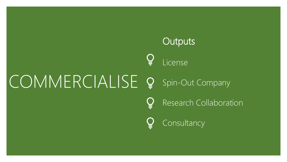### COMMERCIALISE **Outputs** License Spin-Out Company Research Collaboration Consultancy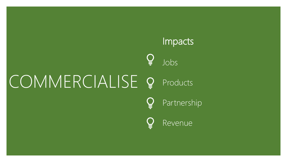### Impacts  $\mathbf{Q}$ Jobs COMMERCIALISE Products Partnership Revenue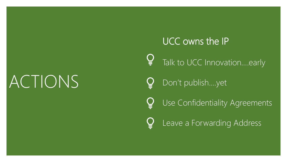### ACTIONS

UCC owns the IP Talk to UCC Innovation....early Don't publish….yet Use Confidentiality Agreements Leave a Forwarding Address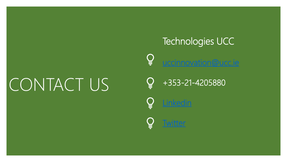## CONTACT US

Technologies UCC [uccinnovation@ucc.ie](mailto:uccinnovation@ucc.ie)

+353-21-4205880